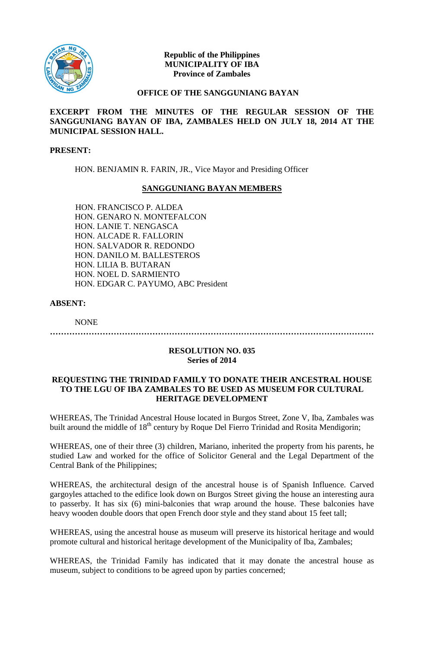

## **Republic of the Philippines MUNICIPALITY OF IBA Province of Zambales**

#### **OFFICE OF THE SANGGUNIANG BAYAN**

# **EXCERPT FROM THE MINUTES OF THE REGULAR SESSION OF THE SANGGUNIANG BAYAN OF IBA, ZAMBALES HELD ON JULY 18, 2014 AT THE MUNICIPAL SESSION HALL.**

## **PRESENT:**

HON. BENJAMIN R. FARIN, JR., Vice Mayor and Presiding Officer

### **SANGGUNIANG BAYAN MEMBERS**

HON. FRANCISCO P. ALDEA HON. GENARO N. MONTEFALCON HON. LANIE T. NENGASCA HON. ALCADE R. FALLORIN HON. SALVADOR R. REDONDO HON. DANILO M. BALLESTEROS HON. LILIA B. BUTARAN HON. NOEL D. SARMIENTO HON. EDGAR C. PAYUMO, ABC President

# **ABSENT:**

NONE

**………………………………………………………………………………………………………**

### **RESOLUTION NO. 035 Series of 2014**

## **REQUESTING THE TRINIDAD FAMILY TO DONATE THEIR ANCESTRAL HOUSE TO THE LGU OF IBA ZAMBALES TO BE USED AS MUSEUM FOR CULTURAL HERITAGE DEVELOPMENT**

WHEREAS, The Trinidad Ancestral House located in Burgos Street, Zone V, Iba, Zambales was built around the middle of 18<sup>th</sup> century by Roque Del Fierro Trinidad and Rosita Mendigorin;

WHEREAS, one of their three (3) children, Mariano, inherited the property from his parents, he studied Law and worked for the office of Solicitor General and the Legal Department of the Central Bank of the Philippines;

WHEREAS, the architectural design of the ancestral house is of Spanish Influence. Carved gargoyles attached to the edifice look down on Burgos Street giving the house an interesting aura to passerby. It has six (6) mini-balconies that wrap around the house. These balconies have heavy wooden double doors that open French door style and they stand about 15 feet tall;

WHEREAS, using the ancestral house as museum will preserve its historical heritage and would promote cultural and historical heritage development of the Municipality of Iba, Zambales;

WHEREAS, the Trinidad Family has indicated that it may donate the ancestral house as museum, subject to conditions to be agreed upon by parties concerned;